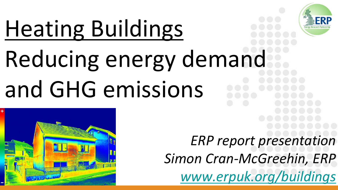# Heating Buildings

# Reducing energy demand and GHG emissions



*ERP report presentation Simon Cran-McGreehin, ERP [www.erpuk.org/buildings](http://www.erpuk.org/buildings)*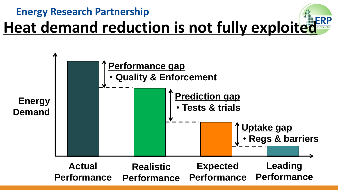**Energy Research Partnership**

#### **Heat demand reduction is not fully exploited**

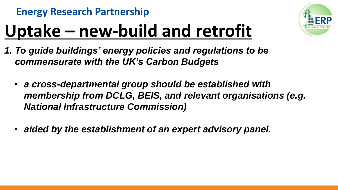

## **Uptake – new-build and retrofit**

- *1. To guide buildings' energy policies and regulations to be commensurate with the UK's Carbon Budgets*
	- *a cross-departmental group should be established with membership from DCLG, BEIS, and relevant organisations (e.g. National Infrastructure Commission)*
	- *aided by the establishment of an expert advisory panel.*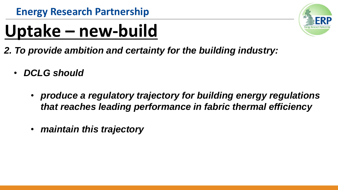#### **Uptake – new-build**

- *2. To provide ambition and certainty for the building industry:*
	- *DCLG should*
		- *produce a regulatory trajectory for building energy regulations that reaches leading performance in fabric thermal efficiency*
		- *maintain this trajectory*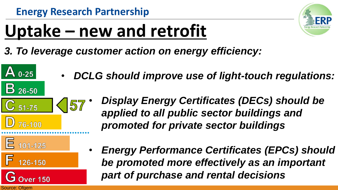

#### **Uptake – new and retrofit**

- *3. To leverage customer action on energy efficiency:*
	- *DCLG should improve use of light-touch regulations:*
- 157  $C_{51-75}$ D 76-100
- *Display Energy Certificates (DECs) should be applied to all public sector buildings and promoted for private sector buildings*

 $E$  101-125

 $\mathbf{A}$  0-25

 $\overline{B}$  26-50

I۵ 126-150

**Over 150** 

Source: Ofgem

• *Energy Performance Certificates (EPCs) should be promoted more effectively as an important part of purchase and rental decisions*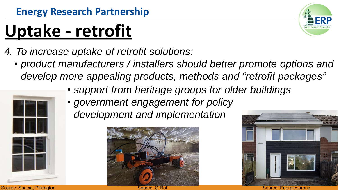## **Uptake - retrofit**

- *4. To increase uptake of retrofit solutions:*
	- *product manufacturers / installers should better promote options and develop more appealing products, methods and "retrofit packages"*
		- *support from heritage groups for older buildings*
		- *government engagement for policy* 
			- *development and implementation*









Source: Spacia, Pilkington Source: Schwarze: George: George: George: George: Source: Source: Source: Energiesprong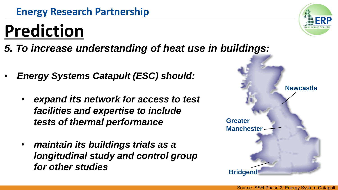#### **Prediction**

- *5. To increase understanding of heat use in buildings:*
- *Energy Systems Catapult (ESC) should:* 
	- *expand its network for access to test facilities and expertise to include tests of thermal performance*
	- *maintain its buildings trials as a longitudinal study and control group for other studies*



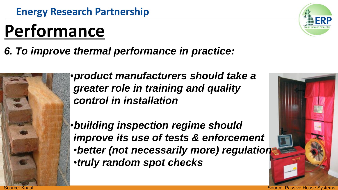#### **Performance**

#### *6. To improve thermal performance in practice:*



•*product manufacturers should take a greater role in training and quality control in installation*

•*building inspection regime should improve its use of tests & enforcement*  •*better (not necessarily more) regulation* •*truly random spot checks*



Source: Knauf Source: Passive House Systems (Source: Passive House Systems)